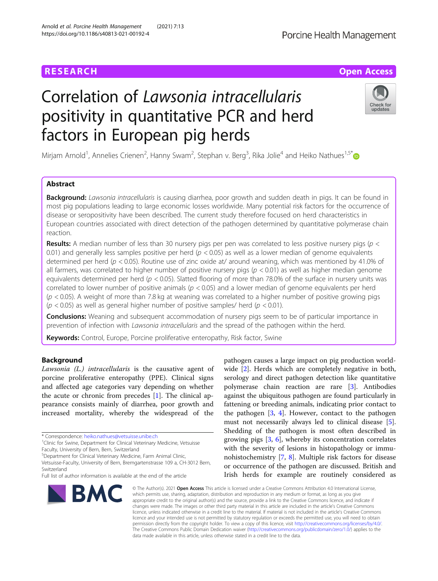# **RESEARCH CHE Open Access**

# Correlation of Lawsonia intracellularis positivity in quantitative PCR and herd factors in European pig herds

Mirjam Arnold<sup>1</sup>, Annelies Crienen<sup>2</sup>, Hanny Swam<sup>2</sup>, Stephan v. Berg<sup>3</sup>, Rika Jolie<sup>4</sup> and Heiko Nathues<sup>1,5[\\*](http://orcid.org/0000-0002-0285-3731)</sup>

# Abstract

Background: Lawsonia intracellularis is causing diarrhea, poor growth and sudden death in pigs. It can be found in most pig populations leading to large economic losses worldwide. Many potential risk factors for the occurrence of disease or seropositivity have been described. The current study therefore focused on herd characteristics in European countries associated with direct detection of the pathogen determined by quantitative polymerase chain reaction.

**Results:** A median number of less than 30 nursery pigs per pen was correlated to less positive nursery pigs ( $p <$ 0.01) and generally less samples positive per herd ( $p < 0.05$ ) as well as a lower median of genome equivalents determined per herd (p < 0.05). Routine use of zinc oxide at/ around weaning, which was mentioned by 41.0% of all farmers, was correlated to higher number of positive nursery pigs ( $p < 0.01$ ) as well as higher median genome equivalents determined per herd ( $p < 0.05$ ). Slatted flooring of more than 78.0% of the surface in nursery units was correlated to lower number of positive animals ( $p < 0.05$ ) and a lower median of genome equivalents per herd (p < 0.05). A weight of more than 7.8 kg at weaning was correlated to a higher number of positive growing pigs  $(p < 0.05)$  as well as general higher number of positive samples/ herd  $(p < 0.01)$ .

**Conclusions:** Weaning and subsequent accommodation of nursery pigs seem to be of particular importance in prevention of infection with *Lawsonia intracellularis* and the spread of the pathogen within the herd.

Keywords: Control, Europe, Porcine proliferative enteropathy, Risk factor, Swine

# Background

Lawsonia (L.) intracellularis is the causative agent of porcine proliferative enteropathy (PPE). Clinical signs and affected age categories vary depending on whether the acute or chronic from precedes  $[1]$  $[1]$ . The clinical appearance consists mainly of diarrhea, poor growth and increased mortality, whereby the widespread of the



wide [\[2\]](#page-6-0). Herds which are completely negative in both, serology and direct pathogen detection like quantitative polymerase chain reaction are rare [\[3](#page-6-0)]. Antibodies against the ubiquitous pathogen are found particularly in fattening or breeding animals, indicating prior contact to the pathogen [\[3](#page-6-0), [4\]](#page-6-0). However, contact to the pathogen must not necessarily always led to clinical disease [\[5](#page-6-0)]. Shedding of the pathogen is most often described in growing pigs [\[3](#page-6-0), [6\]](#page-6-0), whereby its concentration correlates with the severity of lesions in histopathology or immunohistochemistry [[7,](#page-6-0) [8\]](#page-6-0). Multiple risk factors for disease or occurrence of the pathogen are discussed. British and Irish herds for example are routinely considered as

pathogen causes a large impact on pig production world-

© The Author(s), 2021 **Open Access** This article is licensed under a Creative Commons Attribution 4.0 International License, which permits use, sharing, adaptation, distribution and reproduction in any medium or format, as long as you give appropriate credit to the original author(s) and the source, provide a link to the Creative Commons licence, and indicate if changes were made. The images or other third party material in this article are included in the article's Creative Commons licence, unless indicated otherwise in a credit line to the material. If material is not included in the article's Creative Commons licence and your intended use is not permitted by statutory regulation or exceeds the permitted use, you will need to obtain permission directly from the copyright holder. To view a copy of this licence, visit [http://creativecommons.org/licenses/by/4.0/.](http://creativecommons.org/licenses/by/4.0/) The Creative Commons Public Domain Dedication waiver [\(http://creativecommons.org/publicdomain/zero/1.0/](http://creativecommons.org/publicdomain/zero/1.0/)) applies to the data made available in this article, unless otherwise stated in a credit line to the data.

Porcine Health Management



<sup>\*</sup> Correspondence: [heiko.nathues@vetsuisse.unibe.ch](mailto:heiko.nathues@vetsuisse.unibe.ch) <sup>1</sup>

<sup>&</sup>lt;sup>1</sup> Clinic for Swine, Department for Clinical Veterinary Medicine, Vetsuisse Faculty, University of Bern, Bern, Switzerland

<sup>5</sup> Department for Clinical Veterinary Medicine, Farm Animal Clinic,

Vetsuisse-Faculty, University of Bern, Bremgartenstrasse 109 a, CH-3012 Bern, Switzerland

Full list of author information is available at the end of the article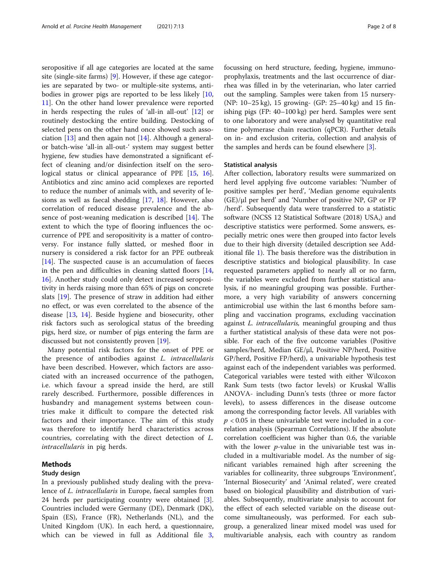seropositive if all age categories are located at the same site (single-site farms) [\[9\]](#page-6-0). However, if these age categories are separated by two- or multiple-site systems, antibodies in grower pigs are reported to be less likely [[10](#page-6-0), [11\]](#page-6-0). On the other hand lower prevalence were reported in herds respecting the rules of 'all-in all-out' [[12\]](#page-6-0) or routinely destocking the entire building. Destocking of selected pens on the other hand once showed such association  $[13]$  $[13]$  and then again not  $[14]$  $[14]$ . Although a generalor batch-wise 'all-in all-out-' system may suggest better hygiene, few studies have demonstrated a significant effect of cleaning and/or disinfection itself on the sero-logical status or clinical appearance of PPE [[15,](#page-6-0) [16](#page-6-0)]. Antibiotics and zinc amino acid complexes are reported to reduce the number of animals with, and severity of lesions as well as faecal shedding [[17,](#page-6-0) [18\]](#page-7-0). However, also correlation of reduced disease prevalence and the absence of post-weaning medication is described [[14\]](#page-6-0). The extent to which the type of flooring influences the occurrence of PPE and seropositivity is a matter of controversy. For instance fully slatted, or meshed floor in nursery is considered a risk factor for an PPE outbreak  $[14]$  $[14]$ . The suspected cause is an accumulation of faeces in the pen and difficulties in cleaning slatted floors [[14](#page-6-0), [16\]](#page-6-0). Another study could only detect increased seropositivity in herds raising more than 65% of pigs on concrete slats [[19](#page-7-0)]. The presence of straw in addition had either no effect, or was even correlated to the absence of the disease [\[13](#page-6-0), [14\]](#page-6-0). Beside hygiene and biosecurity, other risk factors such as serological status of the breeding pigs, herd size, or number of pigs entering the farm are discussed but not consistently proven [[19\]](#page-7-0).

Many potential risk factors for the onset of PPE or the presence of antibodies against L. intracellularis have been described. However, which factors are associated with an increased occurrence of the pathogen, i.e. which favour a spread inside the herd, are still rarely described. Furthermore, possible differences in husbandry and management systems between countries make it difficult to compare the detected risk factors and their importance. The aim of this study was therefore to identify herd characteristics across countries, correlating with the direct detection of L. intracellularis in pig herds.

# Methods

## Study design

In a previously published study dealing with the prevalence of L. intracellularis in Europe, faecal samples from 24 herds per participating country were obtained [\[3](#page-6-0)]. Countries included were Germany (DE), Denmark (DK), Spain (ES), France (FR), Netherlands (NL), and the United Kingdom (UK). In each herd, a questionnaire, which can be viewed in full as Additional file [3](#page-6-0), focussing on herd structure, feeding, hygiene, immunoprophylaxis, treatments and the last occurrence of diarrhea was filled in by the veterinarian, who later carried out the sampling. Samples were taken from 15 nursery- (NP: 10–25 kg), 15 growing- (GP: 25–40 kg) and 15 finishing pigs (FP: 40–100 kg) per herd. Samples were sent to one laboratory and were analysed by quantitative real time polymerase chain reaction (qPCR). Further details on in- and exclusion criteria, collection and analysis of the samples and herds can be found elsewhere [\[3](#page-6-0)].

# Statistical analysis

After collection, laboratory results were summarized on herd level applying five outcome variables: 'Number of positive samples per herd', 'Median genome equivalents (GE)/μl per herd' and 'Number of positive NP, GP or FP /herd'. Subsequently data were transferred to a statistic software (NCSS 12 Statistical Software (2018) USA,) and descriptive statistics were performed. Some answers, especially metric ones were then grouped into factor levels due to their high diversity (detailed description see Additional file [1](#page-6-0)). The basis therefore was the distribution in descriptive statistics and biological plausibility. In case requested parameters applied to nearly all or no farm, the variables were excluded from further statistical analysis, if no meaningful grouping was possible. Furthermore, a very high variability of answers concerning antimicrobial use within the last 6 months before sampling and vaccination programs, excluding vaccination against L. intracellularis, meaningful grouping and thus a further statistical analysis of these data were not possible. For each of the five outcome variables (Positive samples/herd, Median GE/μl, Positive NP/herd, Positive GP/herd, Positive FP/herd), a univariable hypothesis test against each of the independent variables was performed. Categorical variables were tested with either Wilcoxon Rank Sum tests (two factor levels) or Kruskal Wallis ANOVA- including Dunn's tests (three or more factor levels), to assess differences in the disease outcome among the corresponding factor levels. All variables with  $p < 0.05$  in these univariable test were included in a correlation analysis (Spearman Correlations). If the absolute correlation coefficient was higher than 0.6, the variable with the lower  $p$ -value in the univariable test was included in a multivariable model. As the number of significant variables remained high after screening the variables for collinearity, three subgroups 'Environment', 'Internal Biosecurity' and 'Animal related', were created based on biological plausibility and distribution of variables. Subsequently, multivariate analysis to account for the effect of each selected variable on the disease outcome simultaneously, was performed. For each subgroup, a generalized linear mixed model was used for multivariable analysis, each with country as random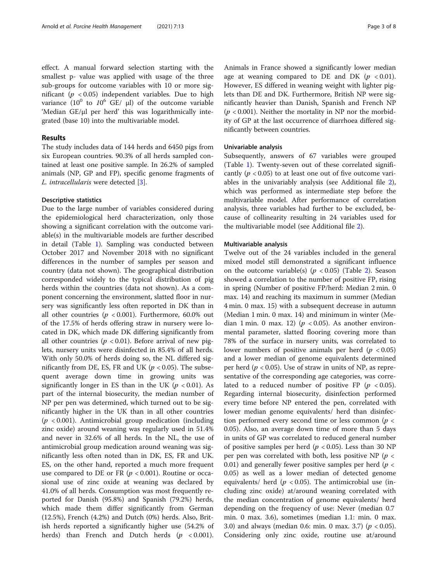# Results

The study includes data of 144 herds and 6450 pigs from six European countries. 90.3% of all herds sampled contained at least one positive sample. In 26.2% of sampled animals (NP, GP and FP), specific genome fragments of L. intracellularis were detected [[3\]](#page-6-0).

# Descriptive statistics

Due to the large number of variables considered during the epidemiological herd characterization, only those showing a significant correlation with the outcome variable(s) in the multivariable models are further described in detail (Table [1](#page-3-0)). Sampling was conducted between October 2017 and November 2018 with no significant differences in the number of samples per season and country (data not shown). The geographical distribution corresponded widely to the typical distribution of pig herds within the countries (data not shown). As a component concerning the environment, slatted floor in nursery was significantly less often reported in DK than in all other countries ( $p < 0.001$ ). Furthermore, 60.0% out of the 17.5% of herds offering straw in nursery were located in DK, which made DK differing significantly from all other countries ( $p < 0.01$ ). Before arrival of new piglets, nursery units were disinfected in 85.4% of all herds. With only 50.0% of herds doing so, the NL differed significantly from DE, ES, FR and UK ( $p < 0.05$ ). The subsequent average down time in growing units was significantly longer in ES than in the UK ( $p < 0.01$ ). As part of the internal biosecurity, the median number of NP per pen was determined, which turned out to be significantly higher in the UK than in all other countries  $(p < 0.001)$ . Antimicrobial group medication (including zinc oxide) around weaning was regularly used in 51.4% and never in 32.6% of all herds. In the NL, the use of antimicrobial group medication around weaning was significantly less often noted than in DK, ES, FR and UK. ES, on the other hand, reported a much more frequent use compared to DE or FR ( $p < 0.001$ ). Routine or occasional use of zinc oxide at weaning was declared by 41.0% of all herds. Consumption was most frequently reported for Danish (95.8%) and Spanish (79.2%) herds, which made them differ significantly from German (12.5%), French (4.2%) and Dutch (0%) herds. Also, British herds reported a significantly higher use (54.2% of herds) than French and Dutch herds  $(p < 0.001)$ . Animals in France showed a significantly lower median age at weaning compared to DE and DK ( $p < 0.01$ ). However, ES differed in weaning weight with lighter piglets than DE and DK. Furthermore, British NP were significantly heavier than Danish, Spanish and French NP  $(p < 0.001)$ . Neither the mortality in NP nor the morbidity of GP at the last occurrence of diarrhoea differed significantly between countries.

# Univariable analysis

Subsequently, answers of 67 variables were grouped (Table [1\)](#page-3-0). Twenty-seven out of these correlated significantly ( $p < 0.05$ ) to at least one out of five outcome variables in the univariably analysis (see Additional file [2](#page-6-0)), which was performed as intermediate step before the multivariable model. After performance of correlation analysis, three variables had further to be excluded, because of collinearity resulting in 24 variables used for the multivariable model (see Additional file [2](#page-6-0)).

# Multivariable analysis

Twelve out of the 24 variables included in the general mixed model still demonstrated a significant influence on the outcome variable(s) ( $p < 0.05$ ) (Table [2\)](#page-4-0). Season showed a correlation to the number of positive FP, rising in spring (Number of positive FP/herd: Median 2 min. 0 max. 14) and reaching its maximum in summer (Median 4 min. 0 max. 15) with a subsequent decrease in autumn (Median 1 min. 0 max. 14) and minimum in winter (Median 1 min. 0 max. 12) ( $p < 0.05$ ). As another environmental parameter, slatted flooring covering more than 78% of the surface in nursery units, was correlated to lower numbers of positive animals per herd ( $p < 0.05$ ) and a lower median of genome equivalents determined per herd ( $p < 0.05$ ). Use of straw in units of NP, as representative of the corresponding age categories, was correlated to a reduced number of positive FP ( $p < 0.05$ ). Regarding internal biosecurity, disinfection performed every time before NP entered the pen, correlated with lower median genome equivalents/ herd than disinfection performed every second time or less common ( $p <$ 0.05). Also, an average down time of more than 5 days in units of GP was correlated to reduced general number of positive samples per herd ( $p < 0.05$ ). Less than 30 NP per pen was correlated with both, less positive NP ( $p <$ 0.01) and generally fewer positive samples per herd ( $p <$ 0.05) as well as a lower median of detected genome equivalents/ herd ( $p < 0.05$ ). The antimicrobial use (including zinc oxide) at/around weaning correlated with the median concentration of genome equivalents/ herd depending on the frequency of use: Never (median 0.7 min. 0 max. 3.6), sometimes (median 1.1: min. 0 max. 3.0) and always (median 0.6: min. 0 max. 3.7) ( $p < 0.05$ ). Considering only zinc oxide, routine use at/around

grated (base 10) into the multivariable model.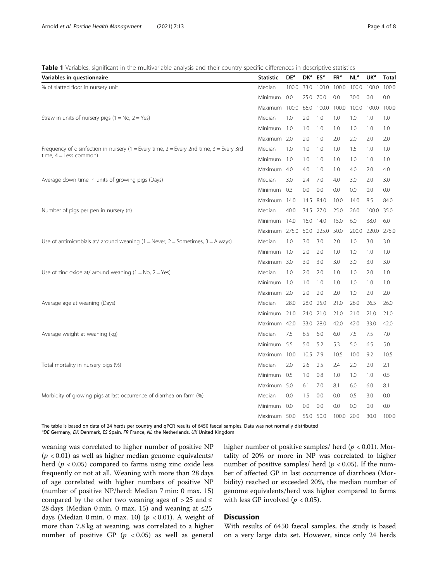#### <span id="page-3-0"></span>Table 1 Variables, significant in the multivariable analysis and their country specific differences in descriptive statistics

| Variables in questionnaire                                                              | <b>Statistic</b> | DE <sup>a</sup> | DK <sup>a</sup> | ES <sup>a</sup> | FR <sup>a</sup> | NL <sup>a</sup> | UK <sup>a</sup> | <b>Total</b> |
|-----------------------------------------------------------------------------------------|------------------|-----------------|-----------------|-----------------|-----------------|-----------------|-----------------|--------------|
| % of slatted floor in nursery unit                                                      | Median           | 100.0           | 33.0            | 100.0           | 100.0           | 100.0           | 100.0           | 100.0        |
|                                                                                         | Minimum          | 0.0             | 25.0            | 70.0            | 0.0             | 30.0            | 0.0             | 0.0          |
|                                                                                         | Maximum 100.0    |                 | 66.0            | 100.0           | 100.0           | 100.0           | 100.0           | 100.0        |
| Straw in units of nursery pigs $(1 = No, 2 = Yes)$                                      | Median           | 1.0             | 2.0             | 1.0             | 1.0             | 1.0             | 1.0             | 1.0          |
|                                                                                         | Minimum 1.0      |                 | 1.0             | 1.0             | 1.0             | 1.0             | 1.0             | 1.0          |
|                                                                                         | Maximum 2.0      |                 | 2.0             | 1.0             | 2.0             | 2.0             | 2.0             | 2.0          |
| Frequency of disinfection in nursery (1 = Every time, 2 = Every 2nd time, 3 = Every 3rd |                  | 1.0             | 1.0             | 1.0             | 1.0             | 1.5             | 1.0             | 1.0          |
| time, $4 =$ Less common)                                                                | <b>Minimum</b>   | 1.0             | 1.0             | 1.0             | 1.0             | 1.0             | 1.0             | 1.0          |
|                                                                                         | Maximum 4.0      |                 | 4.0             | 1.0             | 1.0             | 4.0             | 2.0             | 4.0          |
| Average down time in units of growing pigs (Days)                                       |                  | 3.0             | 2.4             | 7.0             | 4.0             | 3.0             | 2.0             | 3.0          |
|                                                                                         | Minimum 0.3      |                 | 0.0             | 0.0             | 0.0             | 0.0             | 0.0             | 0.0          |
|                                                                                         | Maximum 14.0     |                 |                 | 14.5 84.0       | 10.0            | 14.0            | 8.5             | 84.0         |
| Number of pigs per pen in nursery (n)                                                   | Median           | 40.0            | 34.5            | 27.0            | 25.0            | 26.0            | 100.0           | 35.0         |
|                                                                                         | Minimum          | 14.0            | 16.0            | 14.0            | 15.0            | 6.0             | 38.0            | 6.0          |
|                                                                                         | Maximum 275.0    |                 |                 | 50.0 225.0      | 50.0            | 200.0           | 220.0           | 275.0        |
| Use of antimicrobials at/ around weaning $(1 =$ Never, $2 =$ Sometimes, $3 =$ Always)   | Median           | 1.0             | 3.0             | 3.0             | 2.0             | 1.0             | 3.0             | 3.0          |
|                                                                                         | Minimum 1.0      |                 | 2.0             | 2.0             | 1.0             | 1.0             | 1.0             | 1.0          |
|                                                                                         | Maximum 3.0      |                 | 3.0             | 3.0             | 3.0             | 3.0             | 3.0             | 3.0          |
| Use of zinc oxide at/ around weaning $(1 = No, 2 = Yes)$                                |                  | 1.0             | 2.0             | 2.0             | 1.0             | 1.0             | 2.0             | 1.0          |
|                                                                                         | Minimum          | 1.0             | 1.0             | 1.0             | 1.0             | 1.0             | 1.0             | 1.0          |
|                                                                                         | Maximum 2.0      |                 | 2.0             | 2.0             | 2.0             | 1.0             | 2.0             | 2.0          |
| Average age at weaning (Days)                                                           | Median           | 28.0            | 28.0            | 25.0            | 21.0            | 26.0            | 26.5            | 26.0         |
|                                                                                         | Minimum 21.0     |                 |                 | 24.0 21.0       | 21.0            | 21.0            | 21.0            | 21.0         |
|                                                                                         | Maximum 42.0     |                 | 33.0            | 28.0            | 42.0            | 42.0            | 33.0            | 42.0         |
| Average weight at weaning (kg)                                                          | Median           | 7.5             | 6.5             | 6.0             | 6.0             | 7.5             | 7.5             | 7.0          |
|                                                                                         | Minimum 5.5      |                 | 5.0             | 5.2             | 5.3             | 5.0             | 6.5             | 5.0          |
|                                                                                         | Maximum 10.0     |                 | 10.5            | 7.9             | 10.5            | 10.0            | 9.2             | 10.5         |
| Total mortality in nursery pigs (%)                                                     | Median           | 2.0             | 2.6             | 2.5             | 2.4             | 2.0             | 2.0             | 2.1          |
|                                                                                         |                  | Minimum 0.5     | 1.0             | 0.8             | 1.0             | 1.0             | 1.0             | 0.5          |
|                                                                                         | Maximum 5.0      |                 | 6.1             | 7.0             | 8.1             | 6.0             | 6.0             | 8.1          |
| Morbidity of growing pigs at last occurrence of diarrhea on farm (%)                    | Median           | 0.0             | 1.5             | 0.0             | 0.0             | 0.5             | 3.0             | 0.0          |
|                                                                                         | Minimum          | 0.0             | 0.0             | 0.0             | 0.0             | 0.0             | 0.0             | 0.0          |
|                                                                                         | Maximum 50.0     |                 |                 | 55.0 50.0       | 100.0 20.0      |                 | 30.0            | 100.0        |

The table is based on data of 24 herds per country and qPCR results of 6450 faecal samples. Data was not normally distributed <sup>a</sup>DE Germany, DK Denmark, ES Spain, FR France, NL the Netherlands, UK United Kingdom

weaning was correlated to higher number of positive NP  $(p < 0.01)$  as well as higher median genome equivalents/ herd ( $p < 0.05$ ) compared to farms using zinc oxide less frequently or not at all. Weaning with more than 28 days of age correlated with higher numbers of positive NP (number of positive NP/herd: Median 7 min: 0 max. 15) compared by the other two weaning ages of  $> 25$  and  $\le$ 28 days (Median 0 min. 0 max. 15) and weaning at  $\leq 25$ days (Median 0 min. 0 max. 10) ( $p < 0.01$ ). A weight of more than 7.8 kg at weaning, was correlated to a higher number of positive GP  $(p \lt 0.05)$  as well as general

higher number of positive samples/ herd ( $p < 0.01$ ). Mortality of 20% or more in NP was correlated to higher number of positive samples/ herd ( $p < 0.05$ ). If the number of affected GP in last occurrence of diarrhoea (Morbidity) reached or exceeded 20%, the median number of genome equivalents/herd was higher compared to farms with less GP involved ( $p < 0.05$ ).

# **Discussion**

With results of 6450 faecal samples, the study is based on a very large data set. However, since only 24 herds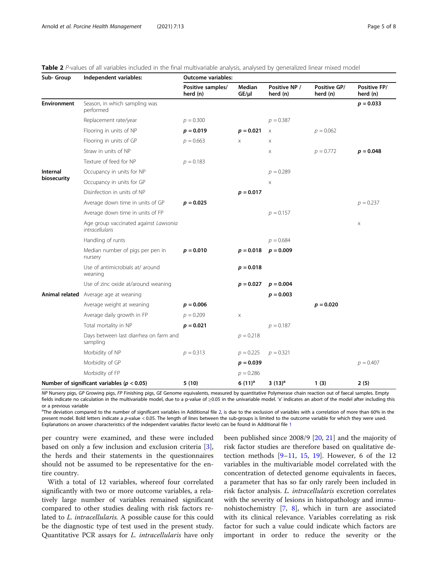| Sub- Group              | Independent variables:                                   | <b>Outcome variables:</b>     |                      |                           |                          |                          |  |  |
|-------------------------|----------------------------------------------------------|-------------------------------|----------------------|---------------------------|--------------------------|--------------------------|--|--|
|                         |                                                          | Positive samples/<br>herd (n) | Median<br>$GE/\mu l$ | Positive NP /<br>herd (n) | Positive GP/<br>herd (n) | Positive FP/<br>herd (n) |  |  |
| <b>Environment</b>      | Season, in which sampling was<br>performed               |                               |                      |                           |                          | $p = 0.033$              |  |  |
|                         | Replacement rate/year                                    | $p = 0.300$                   |                      | $p = 0.387$               |                          |                          |  |  |
|                         | Flooring in units of NP                                  | $p = 0.019$                   | $p = 0.021$          | $\times$                  | $p = 0.062$              |                          |  |  |
|                         | Flooring in units of GP                                  | $p = 0.663$                   | X                    | $\times$                  |                          |                          |  |  |
|                         | Straw in units of NP                                     |                               |                      | X                         | $p = 0.772$              | $p = 0.048$              |  |  |
|                         | Texture of feed for NP                                   | $p = 0.183$                   |                      |                           |                          |                          |  |  |
| Internal<br>biosecurity | Occupancy in units for NP                                |                               |                      | $p = 0.289$               |                          |                          |  |  |
|                         | Occupancy in units for GP                                |                               |                      | X                         |                          |                          |  |  |
|                         | Disinfection in units of NP                              |                               | $p = 0.017$          |                           |                          |                          |  |  |
|                         | Average down time in units of GP                         | $p = 0.025$                   |                      |                           |                          | $p = 0.237$              |  |  |
|                         | Average down time in units of FP                         |                               |                      | $p = 0.157$               |                          |                          |  |  |
|                         | Age group vaccinated against Lawsonia<br>intracellularis |                               |                      |                           |                          | X                        |  |  |
|                         | Handling of runts                                        |                               |                      | $p = 0.684$               |                          |                          |  |  |
|                         | Median number of pigs per pen in<br>nursery              | $p = 0.010$                   | $p = 0.018$          | $p = 0.009$               |                          |                          |  |  |
|                         | Use of antimicrobials at/around<br>weaning               |                               | $p = 0.018$          |                           |                          |                          |  |  |
|                         | Use of zinc oxide at/around weaning                      |                               | $p = 0.027$          | $p = 0.004$               |                          |                          |  |  |
|                         | Animal related Average age at weaning                    |                               |                      | $p = 0.003$               |                          |                          |  |  |
|                         | Average weight at weaning                                | $p = 0.006$                   |                      |                           | $p = 0.020$              |                          |  |  |
|                         | Average daily growth in FP                               | $p = 0.209$                   | X                    |                           |                          |                          |  |  |
|                         | Total mortality in NP                                    | $p = 0.021$                   |                      | $p = 0.187$               |                          |                          |  |  |
|                         | Days between last diarrhea on farm and<br>sampling       |                               | $p = 0.218$          |                           |                          |                          |  |  |
|                         | Morbidity of NP                                          | $p = 0.313$                   | $p = 0.225$          | $p = 0.321$               |                          |                          |  |  |
|                         | Morbidity of GP                                          |                               | $p = 0.039$          |                           |                          | $p = 0.407$              |  |  |
|                         | Morbidity of FP                                          |                               | $p = 0.286$          |                           |                          |                          |  |  |
|                         | Number of significant variables ( $p < 0.05$ )           | 5(10)                         | $6(11)^a$            | 3 $(13)^a$                | 1(3)                     | 2(5)                     |  |  |

<span id="page-4-0"></span>

NP Nursery pigs, GP Growing pigs, FP Finishing pigs, GE Genome equivalents, measured by quantitative Polymerase chain reaction out of faecal samples. Empty fields indicate no calculation in the multivariable model, due to a p-value of ≥0.05 in the univariable model. 'x' indicates an abort of the model after including this or a previous variable

<sup>a</sup>The deviation compared to the number of significant variables in Additional file [2,](#page-6-0) is due to the exclusion of variables with a correlation of more than 60% in the present model. Bold letters indicate a p-value < 0.05. The length of lines between the sub-groups is limited to the outcome variable for which they were used. Explanations on answer characteristics of the independent variables (factor levels) can be found in Additional file [1](#page-6-0)

per country were examined, and these were included based on only a few inclusion and exclusion criteria [\[3](#page-6-0)], the herds and their statements in the questionnaires should not be assumed to be representative for the entire country.

With a total of 12 variables, whereof four correlated significantly with two or more outcome variables, a relatively large number of variables remained significant compared to other studies dealing with risk factors related to L. intracellularis. A possible cause for this could be the diagnostic type of test used in the present study. Quantitative PCR assays for L. intracellularis have only

been published since 2008/9 [[20,](#page-7-0) [21\]](#page-7-0) and the majority of risk factor studies are therefore based on qualitative detection methods  $[9-11, 15, 19]$  $[9-11, 15, 19]$  $[9-11, 15, 19]$  $[9-11, 15, 19]$  $[9-11, 15, 19]$  $[9-11, 15, 19]$  $[9-11, 15, 19]$  $[9-11, 15, 19]$  $[9-11, 15, 19]$ . However, 6 of the 12 variables in the multivariable model correlated with the concentration of detected genome equivalents in faeces, a parameter that has so far only rarely been included in risk factor analysis. L. intracellularis excretion correlates with the severity of lesions in histopathology and immunohistochemistry [[7,](#page-6-0) [8](#page-6-0)], which in turn are associated with its clinical relevance. Variables correlating as risk factor for such a value could indicate which factors are important in order to reduce the severity or the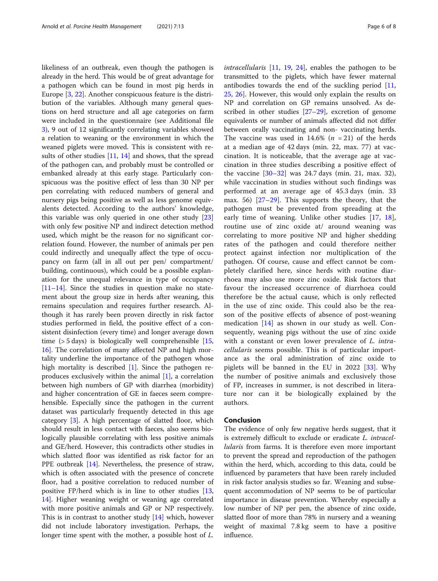likeliness of an outbreak, even though the pathogen is already in the herd. This would be of great advantage for a pathogen which can be found in most pig herds in Europe [[3,](#page-6-0) [22\]](#page-7-0). Another conspicuous feature is the distribution of the variables. Although many general questions on herd structure and all age categories on farm were included in the questionnaire (see Additional file [3\)](#page-6-0), 9 out of 12 significantly correlating variables showed a relation to weaning or the environment in which the weaned piglets were moved. This is consistent with results of other studies [[11,](#page-6-0) [14\]](#page-6-0) and shows, that the spread of the pathogen can, and probably must be controlled or embanked already at this early stage. Particularly conspicuous was the positive effect of less than 30 NP per pen correlating with reduced numbers of general and nursery pigs being positive as well as less genome equivalents detected. According to the authors' knowledge, this variable was only queried in one other study [[23](#page-7-0)] with only few positive NP and indirect detection method used, which might be the reason for no significant correlation found. However, the number of animals per pen could indirectly and unequally affect the type of occupancy on farm (all in all out per pen/ compartment/ building, continuous), which could be a possible explanation for the unequal relevance in type of occupancy  $[11–14]$  $[11–14]$  $[11–14]$  $[11–14]$  $[11–14]$ . Since the studies in question make no statement about the group size in herds after weaning, this remains speculation and requires further research. Although it has rarely been proven directly in risk factor studies performed in field, the positive effect of a consistent disinfection (every time) and longer average down time ( $>$  5 days) is biologically well comprehensible [[15](#page-6-0), [16\]](#page-6-0). The correlation of many affected NP and high mortality underline the importance of the pathogen whose high mortality is described [\[1](#page-6-0)]. Since the pathogen reproduces exclusively within the animal [\[1](#page-6-0)], a correlation between high numbers of GP with diarrhea (morbidity) and higher concentration of GE in faeces seem comprehensible. Especially since the pathogen in the current dataset was particularly frequently detected in this age category [[3\]](#page-6-0). A high percentage of slatted floor, which should result in less contact with faeces, also seems biologically plausible correlating with less positive animals and GE/herd. However, this contradicts other studies in which slatted floor was identified as risk factor for an PPE outbreak [[14](#page-6-0)]. Nevertheless, the presence of straw, which is often associated with the presence of concrete floor, had a positive correlation to reduced number of positive FP/herd which is in line to other studies [[13](#page-6-0), [14\]](#page-6-0). Higher weaning weight or weaning age correlated with more positive animals and GP or NP respectively. This is in contrast to another study [\[14\]](#page-6-0) which, however did not include laboratory investigation. Perhaps, the longer time spent with the mother, a possible host of L.

intracellularis [\[11](#page-6-0), [19,](#page-7-0) [24](#page-7-0)], enables the pathogen to be transmitted to the piglets, which have fewer maternal antibodies towards the end of the suckling period [[11](#page-6-0), [25,](#page-7-0) [26\]](#page-7-0). However, this would only explain the results on NP and correlation on GP remains unsolved. As described in other studies  $[27-29]$  $[27-29]$  $[27-29]$  $[27-29]$  $[27-29]$ , excretion of genome equivalents or number of animals affected did not differ between orally vaccinating and non- vaccinating herds. The vaccine was used in 14.6% ( $n = 21$ ) of the herds at a median age of 42 days (min. 22, max. 77) at vaccination. It is noticeable, that the average age at vaccination in three studies describing a positive effect of the vaccine  $[30-32]$  $[30-32]$  $[30-32]$  $[30-32]$  was 24.7 days (min. 21, max. 32), while vaccination in studies without such findings was performed at an average age of 45.3 days (min. 33 max. 56) [\[27](#page-7-0)–[29](#page-7-0)]. This supports the theory, that the pathogen must be prevented from spreading at the early time of weaning. Unlike other studies [[17,](#page-6-0) [18](#page-7-0)], routine use of zinc oxide at/ around weaning was correlating to more positive NP and higher shedding rates of the pathogen and could therefore neither protect against infection nor multiplication of the pathogen. Of course, cause and effect cannot be completely clarified here, since herds with routine diarrhoea may also use more zinc oxide. Risk factors that favour the increased occurrence of diarrhoea could therefore be the actual cause, which is only reflected in the use of zinc oxide. This could also be the reason of the positive effects of absence of post-weaning medication  $[14]$  $[14]$  $[14]$  as shown in our study as well. Consequently, weaning pigs without the use of zinc oxide with a constant or even lower prevalence of *L. intra*cellularis seems possible. This is of particular importance as the oral administration of zinc oxide to piglets will be banned in the EU in 2022 [\[33](#page-7-0)]. Why the number of positive animals and exclusively those of FP, increases in summer, is not described in literature nor can it be biologically explained by the authors.

# Conclusion

The evidence of only few negative herds suggest, that it is extremely difficult to exclude or eradicate L. intracel*lularis* from farms. It is therefore even more important to prevent the spread and reproduction of the pathogen within the herd, which, according to this data, could be influenced by parameters that have been rarely included in risk factor analysis studies so far. Weaning and subsequent accommodation of NP seems to be of particular importance in disease prevention. Whereby especially a low number of NP per pen, the absence of zinc oxide, slatted floor of more than 78% in nursery and a weaning weight of maximal 7.8 kg seem to have a positive influence.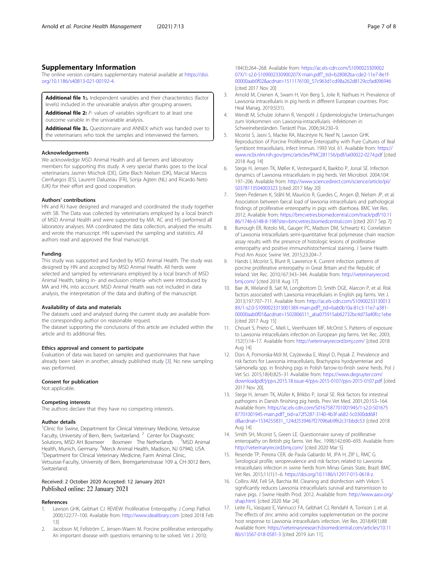# <span id="page-6-0"></span>Supplementary Information

The online version contains supplementary material available at [https://doi.](https://doi.org/10.1186/s40813-021-00192-4) [org/10.1186/s40813-021-00192-4.](https://doi.org/10.1186/s40813-021-00192-4)

Additional file 1: Independent variables and their characteristics (factor levels) included in the univariable analysis after grouping answers.

Additional file 2: P- values of variables significant to at least one outcome variable in the univariable analysis.

Additional file 3:. Questionnaire and ANNEX which was handed over to the veterinarians who took the samples and interviewed the farmers.

#### Acknowledgements

We acknowledge MSD Animal Health and all farmers and laboratory members for supporting this study. A very special thanks goes to the local veterinarians Jasmin Mischok (DE), Gitte Blach Nielsen (DK), Marcial Marcos Cienfuegos (ES), Laurent Daluzeau (FR), Sonja Agten (NL) and Ricardo Neto (UK) for their effort and good cooperation.

## Authors' contributions

HN and RJ have designed and managed and coordinated the study together with SB. The Data was collected by veterinarians employed by a local branch of MSD Animal Health and were supported by MA. AC and HS performed all laboratory analyses. MA coordinated the data collection, analysed the results and wrote the manuscript. HN supervised the sampling and statistics. All authors read and approved the final manuscript.

#### Funding

This study was supported and funded by MSD Animal Health. The study was designed by HN and accepted by MSD Animal Health. All herds were selected and sampled by veterinarians employed by a local branch of MSD Animal Health, taking in- and exclusion criteria- which were introduced by MA and HN, into account. MSD Animal Health was not included in data analysis, the interpretation of the data and drafting of the manuscript.

#### Availability of data and materials

The datasets used and analysed during the current study are available from the corresponding author on reasonable request.

The dataset supporting the conclusions of this article are included within the article and its additional files.

#### Ethics approval and consent to participate

Evaluation of data was based on samples and questionnaires that have already been taken in another, already published study [3]. No new sampling was performed.

#### Consent for publication

Not applicable.

#### Competing interests

The authors declare that they have no competing interests.

#### Author details

<sup>1</sup>Clinic for Swine, Department for Clinical Veterinary Medicine, Vetsuisse Faculty, University of Bern, Bern, Switzerland.<sup>2</sup> Center for Diagnostic Solutions, MSD AH Boxmeer Boxmeer The Netherlands .<sup>3</sup>MSD Animal Health, Munich, Germany. <sup>4</sup>Merck Animal Health, Madison, NJ 07940, USA.<br><sup>5</sup>Department for Clinical Veterinary Medicine, Farm Animal Clinic <sup>5</sup>Department for Clinical Veterinary Medicine, Farm Animal Clinic, Vetsuisse-Faculty, University of Bern, Bremgartenstrasse 109 a, CH-3012 Bern, Switzerland.

# Received: 2 October 2020 Accepted: 12 January 2021 Published online: 22 January 2021

#### References

- Lawson GHK, Gebhart CJ. REVIEW: Proliferative Enteropathy. J Comp Pathol. 2000;122:77–100. Available from: <http://www.idealibrary.com> [cited 2018 Feb 13]
- Jacobson M, Fellström C, Jensen-Waern M. Porcine proliferative enteropathy: An important disease with questions remaining to be solved. Vet J. 2010;

184(3):264–268. Available from: [https://ac.els-cdn.com/S1090023309002](https://ac.els-cdn.com/S109002330900207X/1-s2.0-S109002330900207X-main.pdf?_tid=b28082ba-cde2-11e7-8e1f-00000aab0f02&acdnat=1511176100_57c963d1cd98a262d8129ccfad096946) [07X/1-s2.0-S109002330900207X-main.pdf?\\_tid=b28082ba-cde2-11e7-8e1f-](https://ac.els-cdn.com/S109002330900207X/1-s2.0-S109002330900207X-main.pdf?_tid=b28082ba-cde2-11e7-8e1f-00000aab0f02&acdnat=1511176100_57c963d1cd98a262d8129ccfad096946)[00000aab0f02&acdnat=1511176100\\_57c963d1cd98a262d8129ccfad096946](https://ac.els-cdn.com/S109002330900207X/1-s2.0-S109002330900207X-main.pdf?_tid=b28082ba-cde2-11e7-8e1f-00000aab0f02&acdnat=1511176100_57c963d1cd98a262d8129ccfad096946) [cited 2017 Nov 20]

- 3. Arnold M, Crienen A, Swam H, Von Berg S, Jolie R, Nathues H. Prevalence of Lawsonia intracellularis in pig herds in different European countries. Porc Heal Manag. 2019;5(31).
- 4. Wendt M, Schulze Johann R, Verspohl J. Epidemiologische Untersuchungen zum Vorkommen von Lawsonia-intracellularis -Infektionen in Schweinebeständen. Tierärztl Prax. 2006;34:230–9.
- 5. Mcorist S, Jasni S, Mackie RA, Macintyre N, Neef N, Lawson GHK. Reproduction of Porcine Proliferative Enteropathy with Pure Cultures of Ileal Symbiont Intracellularis. Infect Immun. 1993 Vol. 61. Available from: [https://](https://www.ncbi.nlm.nih.gov/pmc/articles/PMC281156/pdf/iai00022-0274.pdf) [www.ncbi.nlm.nih.gov/pmc/articles/PMC281156/pdf/iai00022-0274.pdf](https://www.ncbi.nlm.nih.gov/pmc/articles/PMC281156/pdf/iai00022-0274.pdf) [cited 2018 Aug 14]
- Stege H, Jensen TK, Møller K, Vestergaard K, Baekbo P, Jorsal SE. Infection dynamics of Lawsonia intracellularis in pig herds. Vet Microbiol. 2004;104: 197–206. Available from: [http://www.sciencedirect.com/science/article/pii/](http://www.sciencedirect.com/science/article/pii/S0378113504003323) [S0378113504003323](http://www.sciencedirect.com/science/article/pii/S0378113504003323) [cited 2017 May 20]
- 7. Steen Pedersen K, Ståhl M, Maurício R, Guedes C, Angen Ø, Nielsen JP, et al. Association between faecal load of lawsonia intracellularis and pathological findings of proliferative enteropathy in pigs with diarrhoea. BMC Vet Res. 2012; Available from: [https://bmcvetres.biomedcentral.com/track/pdf/10.11](https://bmcvetres.biomedcentral.com/track/pdf/10.1186/1746-6148-8-198?site=bmcvetres.biomedcentral.com) [86/1746-6148-8-198?site=bmcvetres.biomedcentral.com](https://bmcvetres.biomedcentral.com/track/pdf/10.1186/1746-6148-8-198?site=bmcvetres.biomedcentral.com) [cited 2017 Sep 7]
- 8. Burrough ER, Rotolo ML, Gauger PC, Madson DM, Schwartz KJ. Correlation of Lawsonia intracellularis semi-quantitative fecal polymerase chain reaction assay results with the presence of histologic lesions of proliferative enteropathy and positive immunohistochemical staining. J Swine Health Prod Am Assoc Swine Vet. 2015;23:204–7.
- 9. Hands I, Mcorist S, Blunt R, Lawrence K. Current infection patterns of porcine proliferative enteropathy in Great Britain and the Republic of Ireland. Vet Rec. 2010;167:343–344. Available from: [http://veterinaryrecord.](http://veterinaryrecord.bmj.com/) [bmj.com/](http://veterinaryrecord.bmj.com/) [cited 2018 Aug 17]
- 10. Bae JK, Wieland B, Sait M, Longbottom D, Smith DGE, Alarcon P, et al. Risk factors associated with Lawsonia intracellularis in English pig farms. Vet J. 2013;197:707–711. Available from: [http://ac.els-cdn.com/S10900233130013](http://ac.els-cdn.com/S109002331300138X/1-s2.0-S109002331300138X-main.pdf?_tid=bab0b10a-81c3-11e7-a381-00000aab0f01&acdnat=1502806511_aba075915ab62732bc4d73a40fcc1ebe) [8X/1-s2.0-S109002331300138X-main.pdf?\\_tid=bab0b10a-81c3-11e7-a381-](http://ac.els-cdn.com/S109002331300138X/1-s2.0-S109002331300138X-main.pdf?_tid=bab0b10a-81c3-11e7-a381-00000aab0f01&acdnat=1502806511_aba075915ab62732bc4d73a40fcc1ebe) [00000aab0f01&acdnat=1502806511\\_aba075915ab62732bc4d73a40fcc1ebe](http://ac.els-cdn.com/S109002331300138X/1-s2.0-S109002331300138X-main.pdf?_tid=bab0b10a-81c3-11e7-a381-00000aab0f01&acdnat=1502806511_aba075915ab62732bc4d73a40fcc1ebe) [cited 2017 Aug 15]
- 11. Chouet S, Prieto C, Mieli L, Veenhuizen MF, McOrist S. Patterns of exposure to Lawsonia intracellularis infection on European pig farms. Vet Rec. 2003; 152(1):14–17. Available from: <http://veterinaryrecord.bmj.com/> [cited 2018 Aug 14]
- 12. Dors A, Pomorska-Mól M, Czyżewska E, Wasyl D, Pejsak Z. Prevalence and risk factors for Lawsonia intracellularis, Brachyspira hyodysenteriae and Salmonella spp. in finishing pigs in Polish farrow-to-finish swine herds. Pol J Vet Sci. 2015;18(4):825–31 Available from: [https://www.degruyter.com/](https://www.degruyter.com/downloadpdf/j/pjvs.2015.18.issue-4/pjvs-2015-0107/pjvs-2015-0107.pdf) [downloadpdf/j/pjvs.2015.18.issue-4/pjvs-2015-0107/pjvs-2015-0107.pdf](https://www.degruyter.com/downloadpdf/j/pjvs.2015.18.issue-4/pjvs-2015-0107/pjvs-2015-0107.pdf) [cited 2017 Nov 20].
- 13. Stege H, Jensen TK, Mùller K, Bñkbo P, Jorsal SE. Risk factors for intestinal pathogens in Danish finishing pig herds. Prev Vet Med. 2001;20:153–164. Available from: [https://ac.els-cdn.com/S0167587701001945/1-s2.0-S01675](https://ac.els-cdn.com/S0167587701001945/1-s2.0-S0167587701001945-main.pdf?_tid=a72f5287-3140-4b3f-a682-5c0300dd681d&acdnat=1534255831_124d2539467f27096ab9f62c31bbdc53) [87701001945-main.pdf?\\_tid=a72f5287-3140-4b3f-a682-5c0300dd681](https://ac.els-cdn.com/S0167587701001945/1-s2.0-S0167587701001945-main.pdf?_tid=a72f5287-3140-4b3f-a682-5c0300dd681d&acdnat=1534255831_124d2539467f27096ab9f62c31bbdc53) [d&acdnat=1534255831\\_124d2539467f27096ab9f62c31bbdc53](https://ac.els-cdn.com/S0167587701001945/1-s2.0-S0167587701001945-main.pdf?_tid=a72f5287-3140-4b3f-a682-5c0300dd681d&acdnat=1534255831_124d2539467f27096ab9f62c31bbdc53) [cited 2018 Aug 14]
- 14. Smith SH, Mcorist S, Green LE. Questionnaire survey of proliferative enteropathy on British pig farms. Vet Rec. 1998;142:690–693. Available from: <http://veterinaryrecord.bmj.com/> [cited 2020 Mar 5]
- 15. Resende TP, Pereira CER, de Paula Gabardo M, JPA H, ZIP L, RMC G. Serological profile, seroprevalence and risk factors related to Lawsonia intracellularis infection in swine herds from Minas Gerais State, Brazil. BMC Vet Res. 2015;11(1):1–6. <https://doi.org/10.1186/s12917-015-0618-z>.
- 16. Collins AM, Fell SA, Barchia IM. Cleaning and disinfection with Virkon S significantly reduces Lawsonia intracellularis survival and transmission to naive pigs. J Swine Health Prod. 2012. Available from: [http://www.aasv.org/](http://www.aasv.org/shap.html) [shap.html.](http://www.aasv.org/shap.html) [cited 2020 Mar 24].
- 17. Leite FL, Vasquez E, Vannucci FA, Gebhart CJ, Rendahl A, Torrison J, et al. The effects of zinc amino acid complex supplementation on the porcine host response to Lawsonia intracellularis infection. Vet Res. 2018;49(1):88 Available from: [https://veterinaryresearch.biomedcentral.com/articles/10.11](https://veterinaryresearch.biomedcentral.com/articles/10.1186/s13567-018-0581-3) [86/s13567-018-0581-3](https://veterinaryresearch.biomedcentral.com/articles/10.1186/s13567-018-0581-3) [cited 2019 Jun 11].